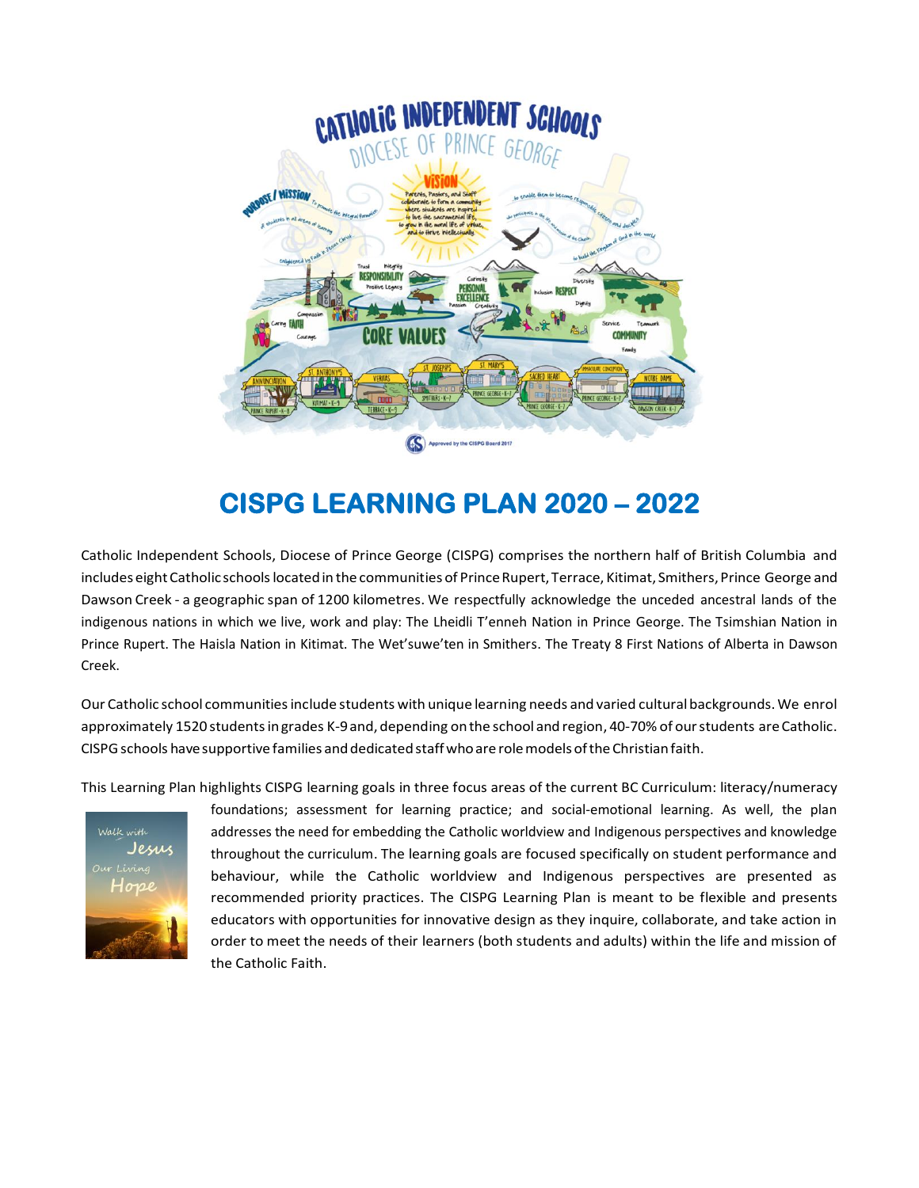

# **CISPG LEARNING PLAN 2020 – 2022**

Catholic Independent Schools, Diocese of Prince George (CISPG) comprises the northern half of British Columbia and includes eight Catholic schools located in the communities of Prince Rupert, Terrace, Kitimat, Smithers, Prince George and Dawson Creek - a geographic span of 1200 kilometres. We respectfully acknowledge the unceded ancestral lands of the indigenous nations in which we live, work and play: The Lheidli T'enneh Nation in Prince George. The Tsimshian Nation in Prince Rupert. The Haisla Nation in Kitimat. The Wet'suwe'ten in Smithers. The Treaty 8 First Nations of Alberta in Dawson Creek.

Our Catholic school communitiesinclude students with unique learning needs and varied culturalbackgrounds.We enrol approximately 1520 students in grades K-9 and, depending on the school and region, 40-70% of our students are Catholic. CISPG schools have supportive families and dedicated staff who are role models of the Christian faith.

This Learning Plan highlights CISPG learning goals in three focus areas of the current BC Curriculum: literacy/numeracy



foundations; assessment for learning practice; and social-emotional learning. As well, the plan addresses the need for embedding the Catholic worldview and Indigenous perspectives and knowledge throughout the curriculum. The learning goals are focused specifically on student performance and behaviour, while the Catholic worldview and Indigenous perspectives are presented as recommended priority practices. The CISPG Learning Plan is meant to be flexible and presents educators with opportunities for innovative design as they inquire, collaborate, and take action in order to meet the needs of their learners (both students and adults) within the life and mission of the Catholic Faith.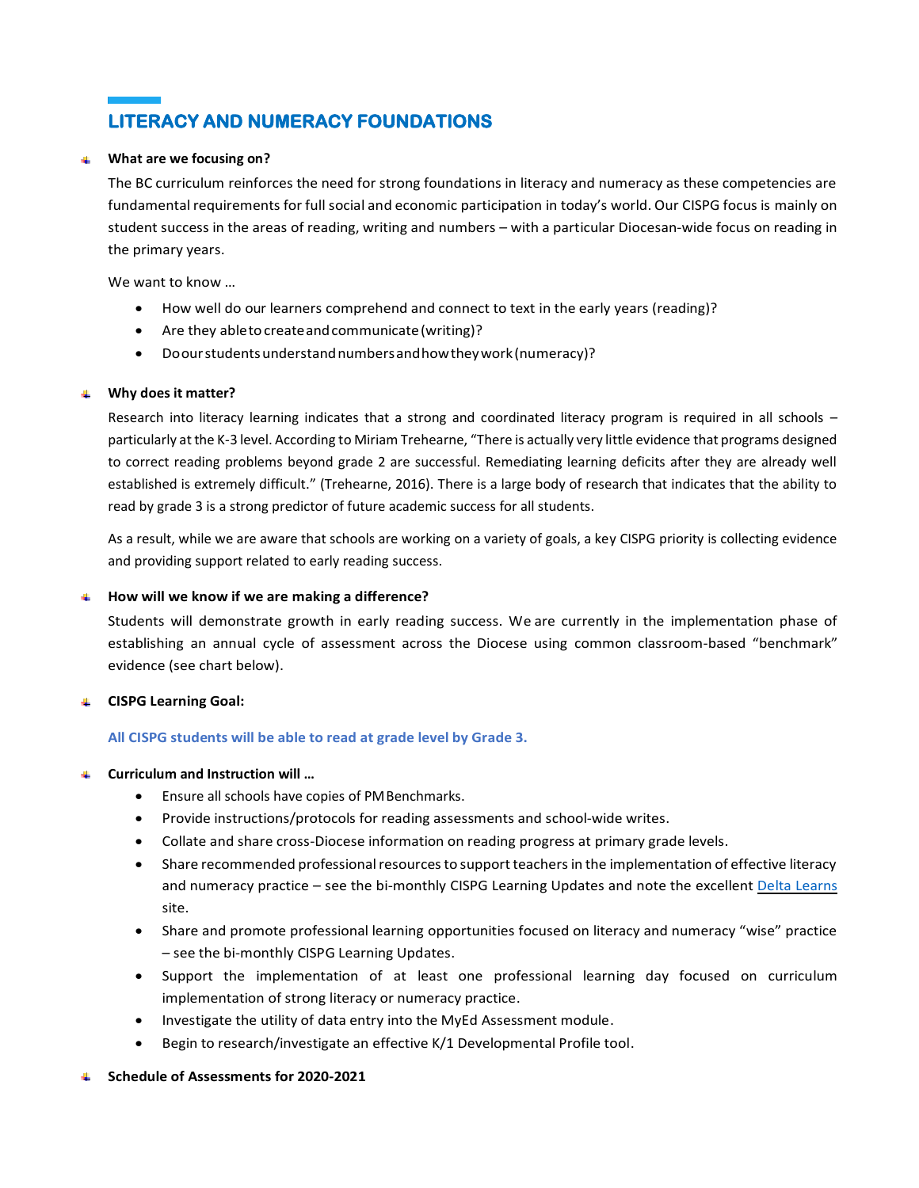## **LITERACY AND NUMERACY FOUNDATIONS**

### **What are we focusing on?**

The BC curriculum reinforces the need for strong foundations in literacy and numeracy as these competencies are fundamental requirements for full social and economic participation in today's world. Our CISPG focus is mainly on student success in the areas of reading, writing and numbers – with a particular Diocesan-wide focus on reading in the primary years.

We want to know …

- How well do our learners comprehend and connect to text in the early years (reading)?
- Are they abletocreateandcommunicate(writing)?
- Doourstudentsunderstandnumbersandhowtheywork(numeracy)?

### **Why does it matter?**

Research into literacy learning indicates that a strong and coordinated literacy program is required in all schools – particularly at the K-3 level. According to Miriam Trehearne, "There is actually very little evidence that programs designed to correct reading problems beyond grade 2 are successful. Remediating learning deficits after they are already well established is extremely difficult." (Trehearne, 2016). There is a large body of research that indicates that the ability to read by grade 3 is a strong predictor of future academic success for all students.

As a result, while we are aware that schools are working on a variety of goals, a key CISPG priority is collecting evidence and providing support related to early reading success.

#### **How will we know if we are making a difference?**

Students will demonstrate growth in early reading success. We are currently in the implementation phase of establishing an annual cycle of assessment across the Diocese using common classroom-based "benchmark" evidence (see chart below).

#### **CISPG Learning Goal:** 4.

#### **All CISPG students will be able to read at grade level by Grade 3.**

#### **Curriculum and Instruction will …** a.

- Ensure all schools have copies of PMBenchmarks.
- Provide instructions/protocols for reading assessments and school-wide writes.
- Collate and share cross-Diocese information on reading progress at primary grade levels.
- Share recommended professional resources to support teachers in the implementation of effective literacy and numeracy practice – see the bi-monthly CISPG Learning Updates and note the excellent [Delta Learns](https://deltalearns.ca/) site.
- Share and promote professional learning opportunities focused on literacy and numeracy "wise" practice – see the bi-monthly CISPG Learning Updates.
- Support the implementation of at least one professional learning day focused on curriculum implementation of strong literacy or numeracy practice.
- Investigate the utility of data entry into the MyEd Assessment module.
- Begin to research/investigate an effective K/1 Developmental Profile tool.

#### **Schedule of Assessments for 2020-2021**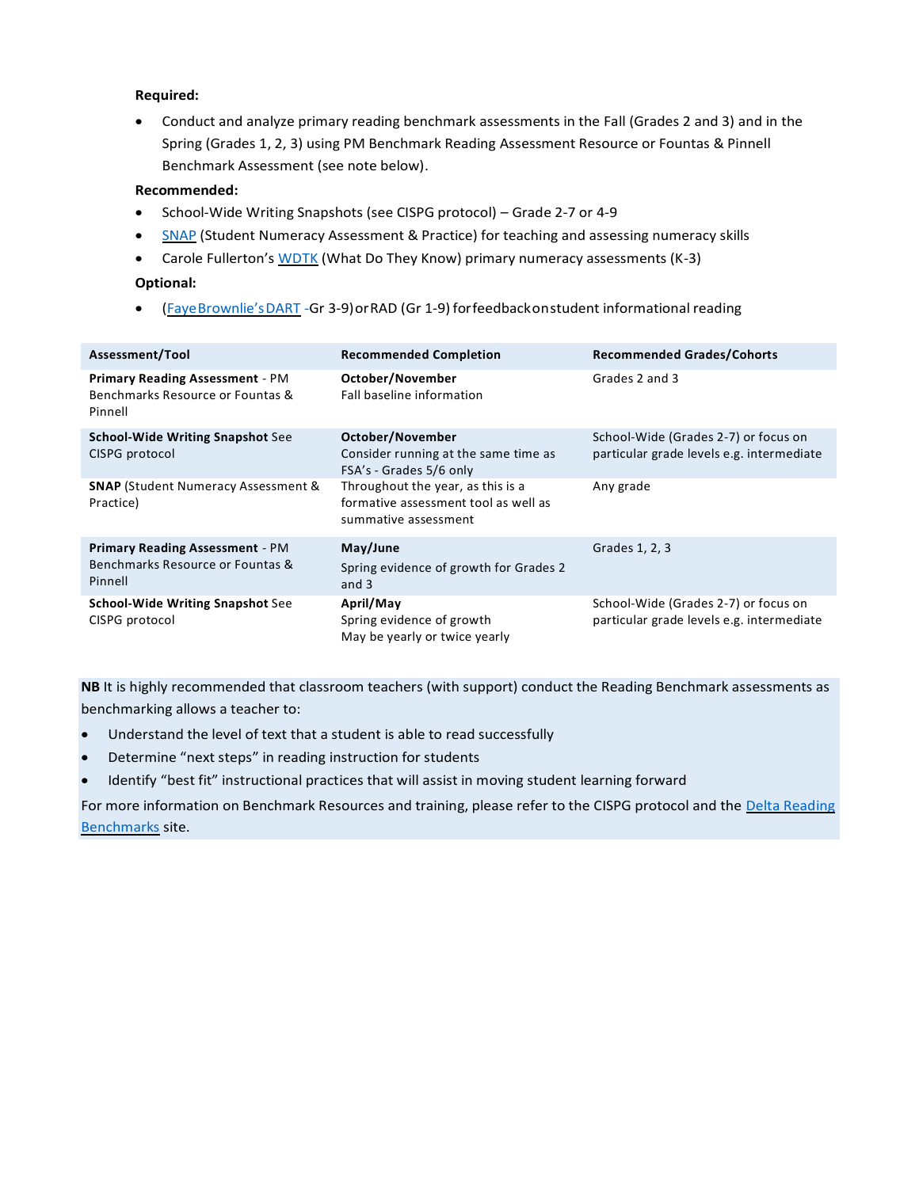## **Required:**

• Conduct and analyze primary reading benchmark assessments in the Fall (Grades 2 and 3) and in the Spring (Grades 1, 2, 3) using PM Benchmark Reading Assessment Resource or Fountas & Pinnell Benchmark Assessment (see note below).

## **Recommended:**

- School-Wide Writing Snapshots (see CISPG protocol) Grade 2-7 or 4-9
- [SNAP](https://snap.sd33.bc.ca/) (Student Numeracy Assessment & Practice) for teaching and assessing numeracy skills
- Carole Fullerton's [WDTK](https://mindfull.ecwid.com/Free-Downloads-c15606272) (What Do They Know) primary numeracy assessments (K-3)

## **Optional:**

• (Faye[Brownlie's](http://fayebrownlie.ca/reading-assessment/dart/)DART -Gr 3-9)orRAD (Gr 1-9) forfeedbackonstudent informational reading

| Assessment/Tool                                                                       | <b>Recommended Completion</b>                                                                     | <b>Recommended Grades/Cohorts</b>                                                 |
|---------------------------------------------------------------------------------------|---------------------------------------------------------------------------------------------------|-----------------------------------------------------------------------------------|
| <b>Primary Reading Assessment - PM</b><br>Benchmarks Resource or Fountas &<br>Pinnell | October/November<br>Fall baseline information                                                     | Grades 2 and 3                                                                    |
| <b>School-Wide Writing Snapshot See</b><br>CISPG protocol                             | October/November<br>Consider running at the same time as<br>FSA's - Grades 5/6 only               | School-Wide (Grades 2-7) or focus on<br>particular grade levels e.g. intermediate |
| <b>SNAP (Student Numeracy Assessment &amp;</b><br>Practice)                           | Throughout the year, as this is a<br>formative assessment tool as well as<br>summative assessment | Any grade                                                                         |
| <b>Primary Reading Assessment - PM</b><br>Benchmarks Resource or Fountas &<br>Pinnell | May/June<br>Spring evidence of growth for Grades 2<br>and $3$                                     | Grades 1, 2, 3                                                                    |
| <b>School-Wide Writing Snapshot See</b><br>CISPG protocol                             | April/May<br>Spring evidence of growth<br>May be yearly or twice yearly                           | School-Wide (Grades 2-7) or focus on<br>particular grade levels e.g. intermediate |

**NB** It is highly recommended that classroom teachers (with support) conduct the Reading Benchmark assessments as benchmarking allows a teacher to:

- Understand the level of text that a student is able to read successfully
- Determine "next steps" in reading instruction for students
- Identify "best fit" instructional practices that will assist in moving student learning forward

For more information on Benchmark Resources and training, please refer to the CISPG protocol and the Delta Reading [Benchmarks](https://deltalearns.ca/elementaryliteracy/benchmarking/) site.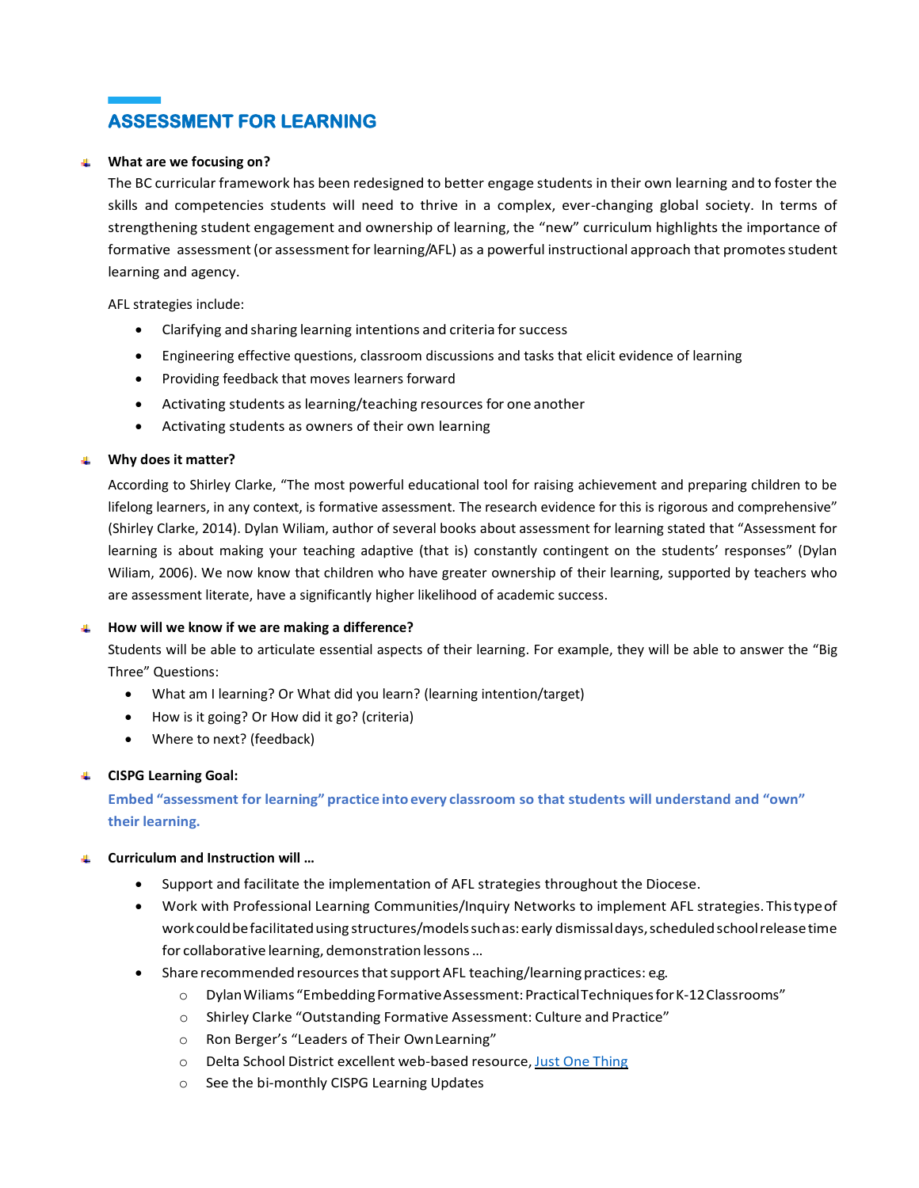# **ASSESSMENT FOR LEARNING**

### **What are we focusing on?**

The BC curricular framework has been redesigned to better engage students in their own learning and to foster the skills and competencies students will need to thrive in a complex, ever-changing global society. In terms of strengthening student engagement and ownership of learning, the "new" curriculum highlights the importance of formative assessment (or assessment for learning/AFL) as a powerful instructional approach that promotes student learning and agency.

AFL strategies include:

- Clarifying and sharing learning intentions and criteria for success
- Engineering effective questions, classroom discussions and tasks that elicit evidence of learning
- Providing feedback that moves learners forward
- Activating students as learning/teaching resources for one another
- Activating students as owners of their own learning

### **Why does it matter?**

According to Shirley Clarke, "The most powerful educational tool for raising achievement and preparing children to be lifelong learners, in any context, is formative assessment. The research evidence for this is rigorous and comprehensive" (Shirley Clarke, 2014). Dylan Wiliam, author of several books about assessment for learning stated that "Assessment for learning is about making your teaching adaptive (that is) constantly contingent on the students' responses" (Dylan Wiliam, 2006). We now know that children who have greater ownership of their learning, supported by teachers who are assessment literate, have a significantly higher likelihood of academic success.

#### **How will we know if we are making a difference?**

Students will be able to articulate essential aspects of their learning. For example, they will be able to answer the "Big Three" Questions:

- What am I learning? Or What did you learn? (learning intention/target)
- How is it going? Or How did it go? (criteria)
- Where to next? (feedback)

#### **CISPG Learning Goal:**

**Embed "assessment for learning" practice intoevery classroom so that students will understand and "own" their learning.**

#### $\Delta \mathbf{r}$ **Curriculum and Instruction will …**

- Support and facilitate the implementation of AFL strategies throughout the Diocese.
- Work with Professional Learning Communities/Inquiry Networks to implement AFL strategies. Thistypeof work could be facilitated using structures/models such as: early dismissal days, scheduled school release time for collaborative learning, demonstration lessons ...
- Share recommended resources that support AFL teaching/learning practices: e.g.
	- o DylanWiliams "EmbeddingFormativeAssessment:PracticalTechniquesforK-12Classrooms"
	- o Shirley Clarke "Outstanding Formative Assessment: Culture and Practice"
	- o Ron Berger's "Leaders of Their OwnLearning"
	- o Delta School District excellent web-based resource, [Just One Thing](https://deltalearns.ca/afl/)
	- o See the bi-monthly CISPG Learning Updates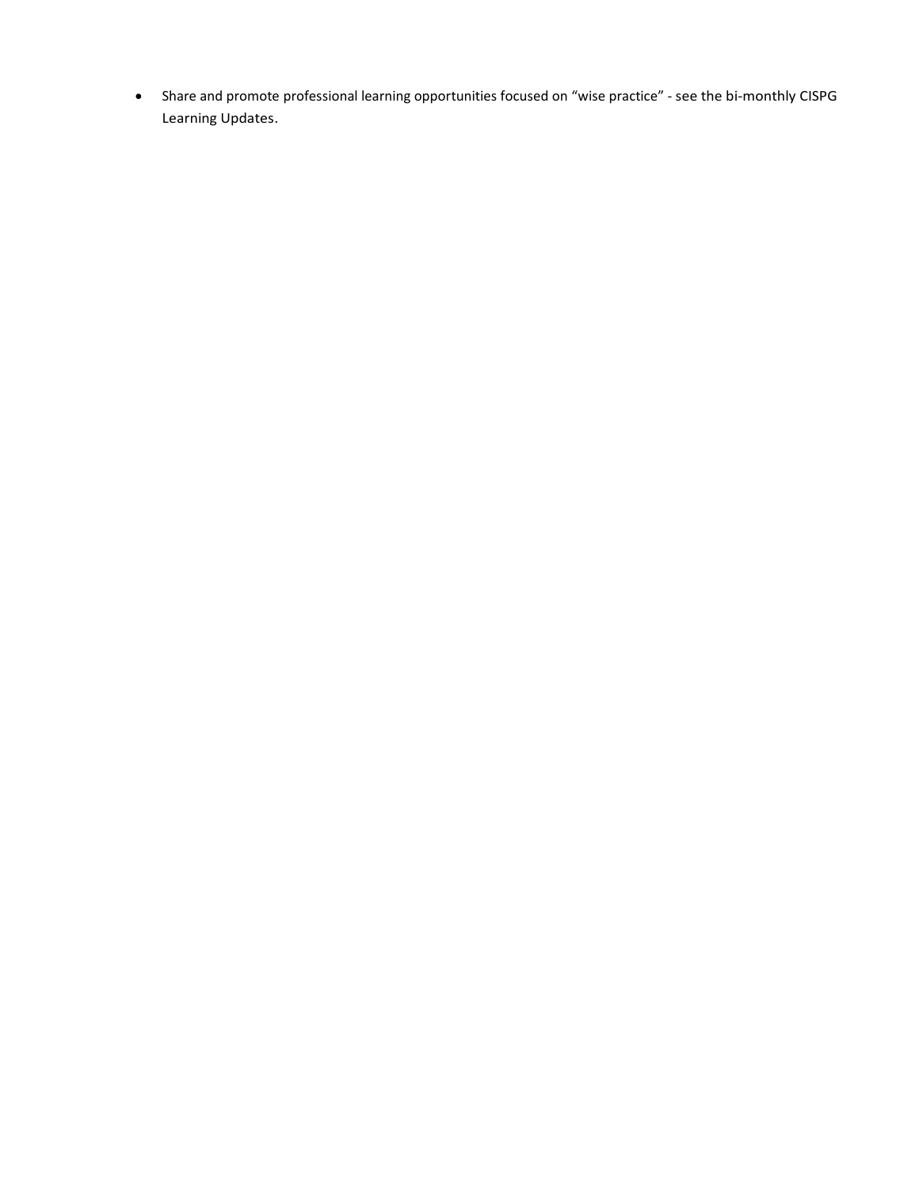• Share and promote professional learning opportunities focused on "wise practice" - see the bi-monthly CISPG Learning Updates.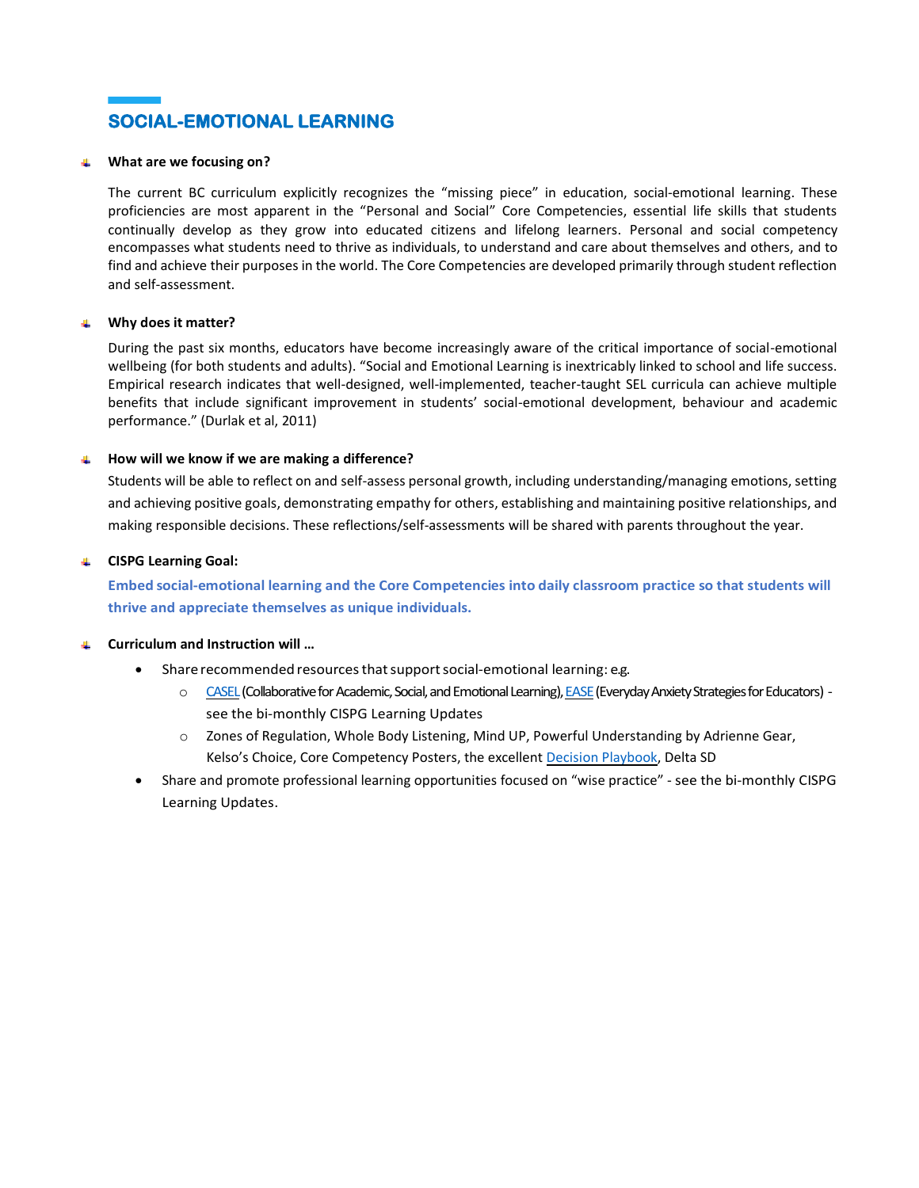

#### **What are we focusing on?**

The current BC curriculum explicitly recognizes the "missing piece" in education, social-emotional learning. These proficiencies are most apparent in the "Personal and Social" Core Competencies, essential life skills that students continually develop as they grow into educated citizens and lifelong learners. Personal and social competency encompasses what students need to thrive as individuals, to understand and care about themselves and others, and to find and achieve their purposes in the world. The Core Competencies are developed primarily through student reflection and self-assessment.

#### **Why does it matter?**

During the past six months, educators have become increasingly aware of the critical importance of social-emotional wellbeing (for both students and adults). "Social and Emotional Learning is inextricably linked to school and life success. Empirical research indicates that well-designed, well-implemented, teacher-taught SEL curricula can achieve multiple benefits that include significant improvement in students' social-emotional development, behaviour and academic performance." (Durlak et al, 2011)

#### **How will we know if we are making a difference?**

Students will be able to reflect on and self-assess personal growth, including understanding/managing emotions, setting and achieving positive goals, demonstrating empathy for others, establishing and maintaining positive relationships, and making responsible decisions. These reflections/self-assessments will be shared with parents throughout the year.

### **CISPG Learning Goal:**

**Embed social-emotional learning and the Core Competencies into daily classroom practice so that students will thrive and appreciate themselves as unique individuals.**

### **Curriculum and Instruction will …**

- Share recommended resources that support social-emotional learning: e.g.
	- o [CASEL\(](https://casel.org/)Collaborative for Academic, Social, and Emotional Learning)[, EASE\(](https://www2.gov.bc.ca/gov/content/health/managing-your-health/mental-health-substance-use/child-teen-mental-health/ease)Everyday Anxiety Strategies for Educators) see the bi-monthly CISPG Learning Updates
	- o Zones of Regulation, Whole Body Listening, Mind UP, Powerful Understanding by Adrienne Gear, Kelso's Choice, Core Competency Posters, the excellent [Decision Playbook,](https://deltalearns.ca/decisions/) Delta SD
- Share and promote professional learning opportunities focused on "wise practice" see the bi-monthly CISPG Learning Updates.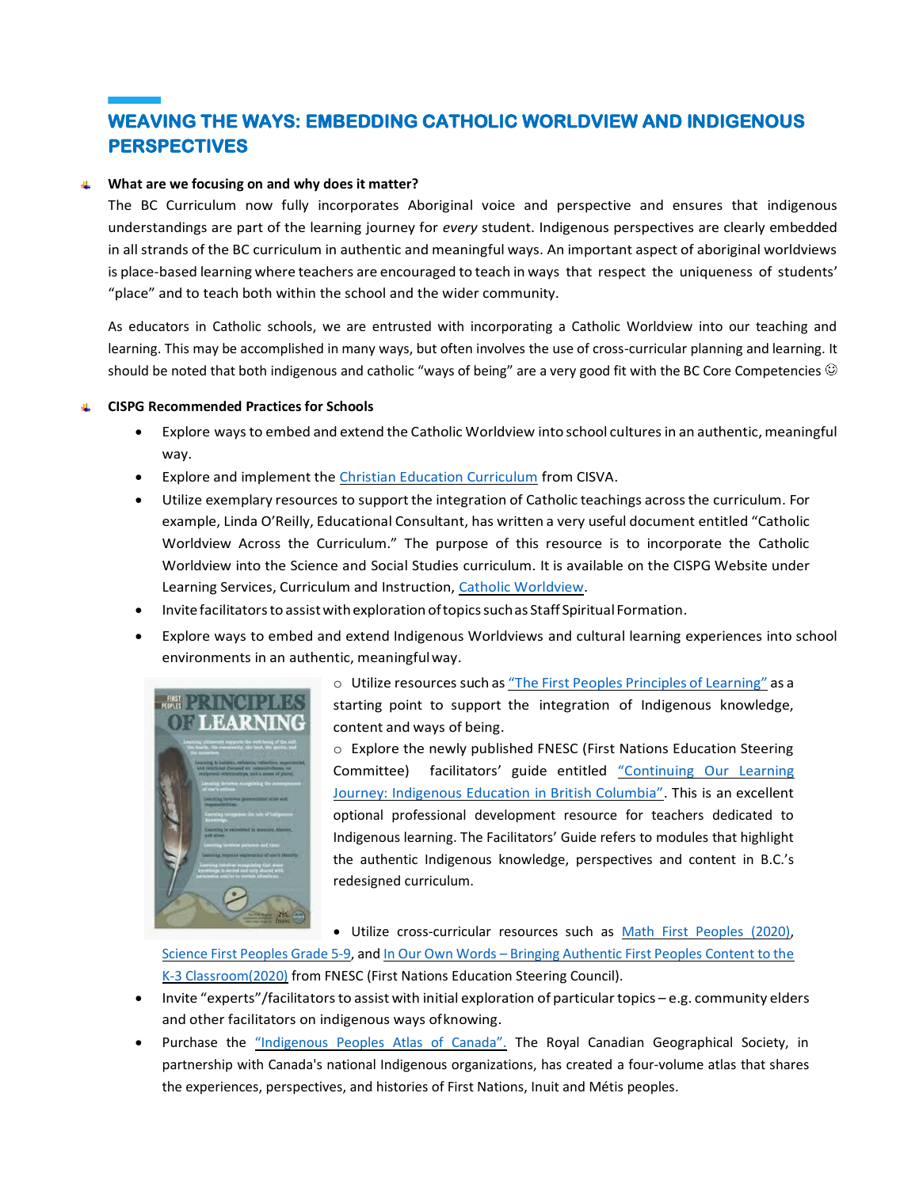# **WEAVING THE WAYS: EMBEDDING CATHOLIC WORLDVIEW AND INDIGENOUS PERSPECTIVES**

#### **What are we focusing on and why does it matter?** 4

The BC Curriculum now fully incorporates Aboriginal voice and perspective and ensures that indigenous understandings are part of the learning journey for *every* student. Indigenous perspectives are clearly embedded in all strands of the BC curriculum in authentic and meaningful ways. An important aspect of aboriginal worldviews is place-based learning where teachers are encouraged to teach in ways that respect the uniqueness of students' "place" and to teach both within the school and the wider community.

As educators in Catholic schools, we are entrusted with incorporating a Catholic Worldview into our teaching and learning. This may be accomplished in many ways, but often involves the use of cross-curricular planning and learning. It should be noted that both indigenous and catholic "ways of being" are a very good fit with the BC Core Competencies  $\odot$ 

#### **CISPG Recommended Practices for Schools**

- Explore ways to embed and extend the Catholic Worldview into school cultures in an authentic, meaningful way.
- Explore and implement the [Christian Education Curriculum](https://cisva.bc.ca/schools/curriculum-instruction/christian-education-curriculum/) from CISVA.
- Utilize exemplary resources to support the integration of Catholic teachings acrossthe curriculum. For example, Linda O'Reilly, Educational Consultant, has written a very useful document entitled "Catholic Worldview Across the Curriculum." The purpose of this resource is to incorporate the Catholic Worldview into the Science and Social Studies curriculum. It is available on the CISPG Website under Learning Services, Curriculum and Instruction, [Catholic Worldview.](https://drive.google.com/file/d/1dNxB-hd_VsUY97uzWcM_b1HXxv0PSW3H/view?usp=sharing)
- Invitefacilitatorsto assistwithexploration oftopicssuchas Staff SpiritualFormation.
- Explore ways to embed and extend Indigenous Worldviews and cultural learning experiences into school environments in an authentic, meaningfulway.



o Utilize resources such as "The First Peoples Principles of [Learning"](http://www.fnesc.ca/wp/wp-content/uploads/2015/09/PUB-LFP-POSTER-Principles-of-Learning-First-Peoples-poster-11x17.pdf) as a starting point to support the integration of Indigenous knowledge, content and ways of being.

o Explore the newly published FNESC (First Nations Education Steering Committee) facilitators' guide entitled "Continuin[g Our Learning](https://curriculum.gov.bc.ca/sites/curriculum.gov.bc.ca/files/pdf/continuing_our_learning_journey_facilitators_guide.pdf)  [Journey: Indigenous Education in British Columbia"](https://curriculum.gov.bc.ca/sites/curriculum.gov.bc.ca/files/pdf/continuing_our_learning_journey_facilitators_guide.pdf). This is an excellent optional professional development resource for teachers dedicated to Indigenous learning. The Facilitators' Guide refers to modules that highlight the authentic Indigenous knowledge, perspectives and content in B.C.'s redesigned curriculum.

• Utilize cross-curricular resources such as [Math First Peoples \(2020\),](http://www.fnesc.ca/math-first-peoples/)

[Science First Peoples Grade 5-9,](http://www.fnesc.ca/science-first-peoples/) and In Our Own Words – [Bringing Authentic First Peoples Content](http://www.fnesc.ca/learningfirstpeoples/k-3/) to the [K-3 Classroom\(2020\)](http://www.fnesc.ca/learningfirstpeoples/k-3/) from FNESC (First Nations Education Steering Council).

- Invite "experts"/facilitators to assist with initial exploration of particular topics e.g. community elders and other facilitators on indigenous ways ofknowing.
- Purchase the ["Indigenous Peoples Atlas of Canada".](https://www.amazon.ca/Indigenous-Peoples-Canadian-Geographical-Geographic/dp/0986751626) The Royal Canadian Geographical Society, in partnership with Canada's national Indigenous organizations, has created a four-volume atlas that shares the experiences, perspectives, and histories of First Nations, Inuit and Métis peoples.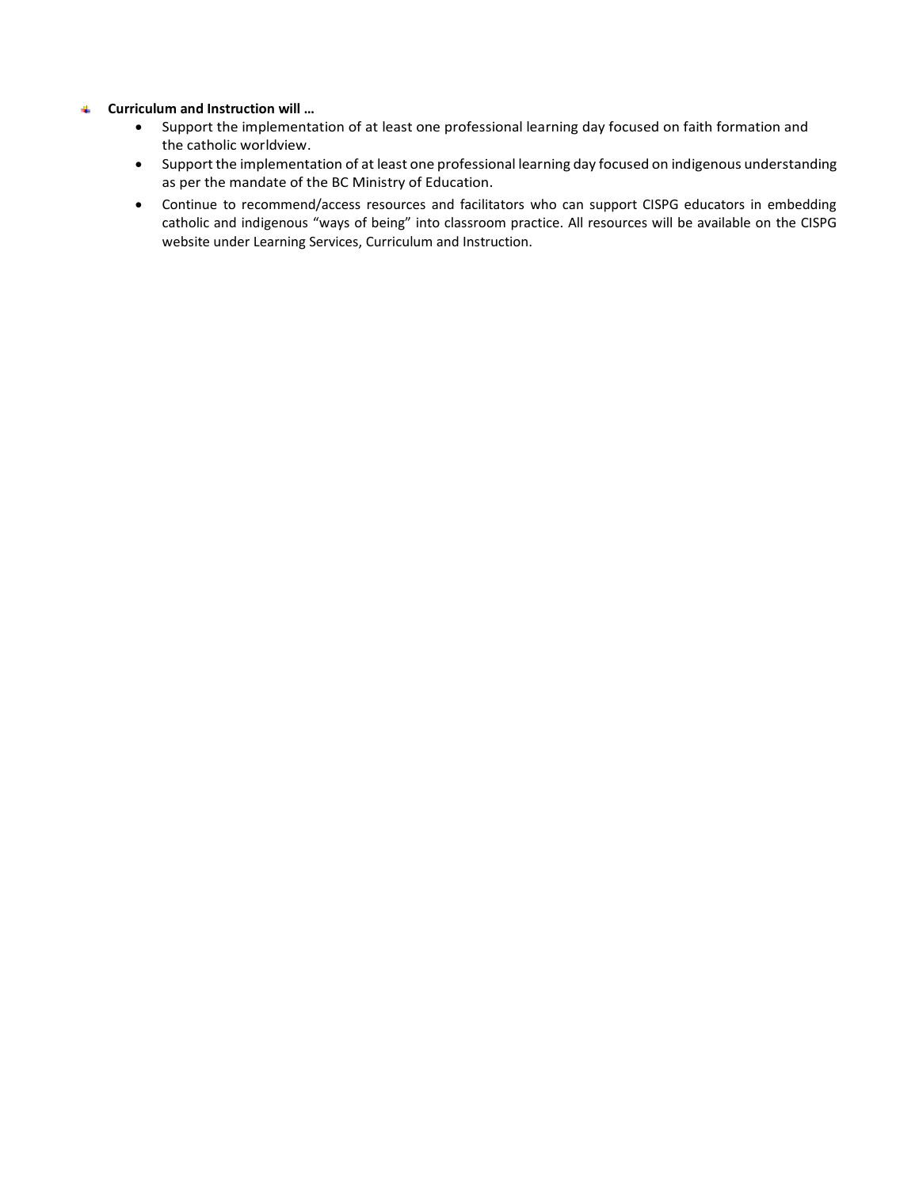#### **Curriculum and Instruction will …** 4.

- Support the implementation of at least one professional learning day focused on faith formation and the catholic worldview.
- Support the implementation of at least one professional learning day focused on indigenous understanding as per the mandate of the BC Ministry of Education.
- Continue to recommend/access resources and facilitators who can support CISPG educators in embedding catholic and indigenous "ways of being" into classroom practice. All resources will be available on the CISPG website under Learning Services, Curriculum and Instruction.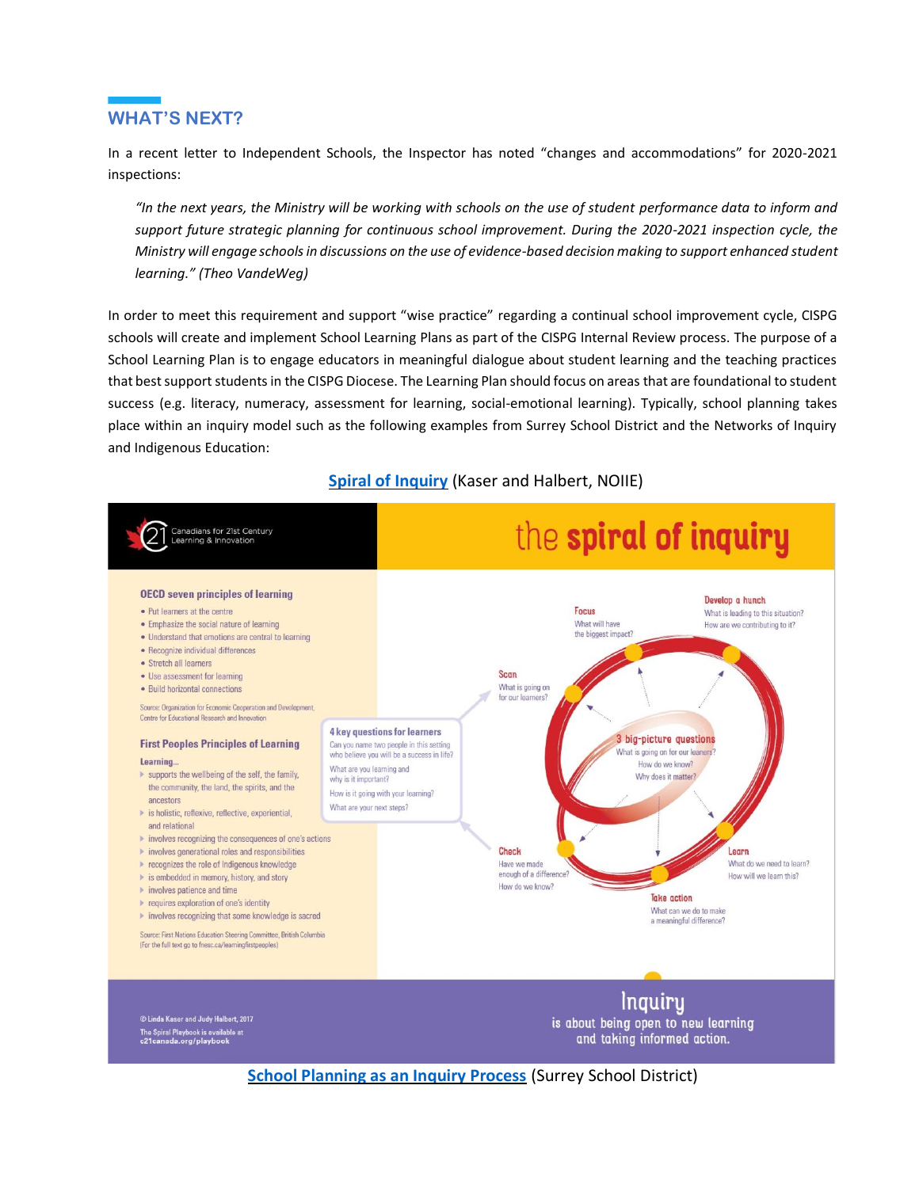## **WHAT'S NEXT?**

In a recent letter to Independent Schools, the Inspector has noted "changes and accommodations" for 2020-2021 inspections:

*"In the next years, the Ministry will be working with schools on the use of student performance data to inform and support future strategic planning for continuous school improvement. During the 2020-2021 inspection cycle, the Ministry will engage schools in discussions on the use of evidence-based decision making to support enhanced student learning." (Theo VandeWeg)*

In order to meet this requirement and support "wise practice" regarding a continual school improvement cycle, CISPG schools will create and implement School Learning Plans as part of the CISPG Internal Review process. The purpose of a School Learning Plan is to engage educators in meaningful dialogue about student learning and the teaching practices that best support students in the CISPG Diocese. The Learning Plan should focus on areas that are foundational to student success (e.g. literacy, numeracy, assessment for learning, social-emotional learning). Typically, school planning takes place within an inquiry model such as the following examples from Surrey School District and the Networks of Inquiry and Indigenous Education:



## **[Spiral of Inquiry](https://www.noii.ca/spiral-of-inquiry/)** (Kaser and Halbert, NOIIE)